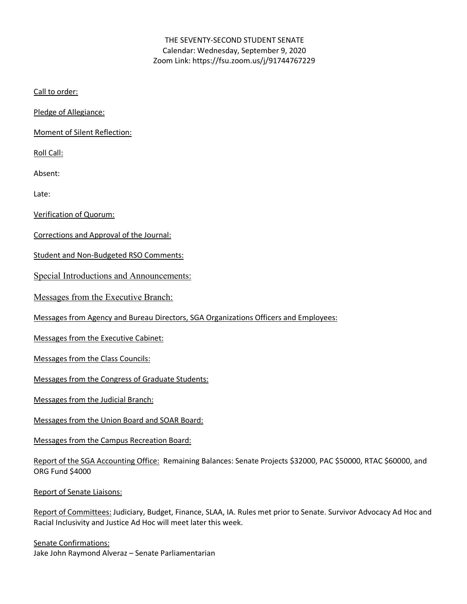## THE SEVENTY-SECOND STUDENT SENATE Calendar: Wednesday, September 9, 2020 Zoom Link: https://fsu.zoom.us/j/91744767229

Call to order:

Pledge of Allegiance:

Moment of Silent Reflection:

Roll Call:

Absent:

Late:

Verification of Quorum:

Corrections and Approval of the Journal:

Student and Non-Budgeted RSO Comments:

Special Introductions and Announcements:

Messages from the Executive Branch:

Messages from Agency and Bureau Directors, SGA Organizations Officers and Employees:

Messages from the Executive Cabinet:

Messages from the Class Councils:

Messages from the Congress of Graduate Students:

Messages from the Judicial Branch:

Messages from the Union Board and SOAR Board:

Messages from the Campus Recreation Board:

Report of the SGA Accounting Office: Remaining Balances: Senate Projects \$32000, PAC \$50000, RTAC \$60000, and ORG Fund \$4000

Report of Senate Liaisons:

Report of Committees: Judiciary, Budget, Finance, SLAA, IA. Rules met prior to Senate. Survivor Advocacy Ad Hoc and Racial Inclusivity and Justice Ad Hoc will meet later this week.

Senate Confirmations: Jake John Raymond Alveraz – Senate Parliamentarian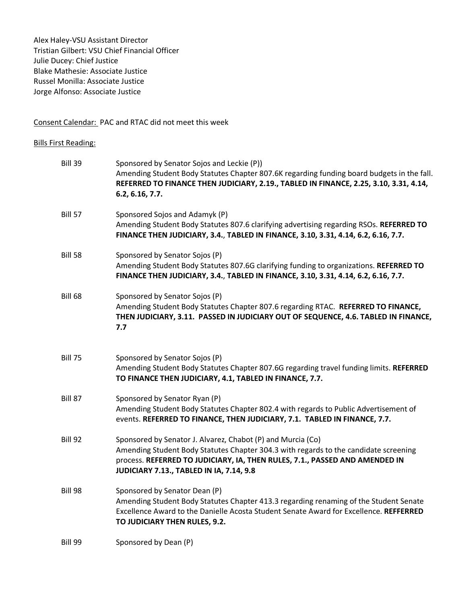Alex Haley-VSU Assistant Director Tristian Gilbert: VSU Chief Financial Officer Julie Ducey: Chief Justice Blake Mathesie: Associate Justice Russel Monilla: Associate Justice Jorge Alfonso: Associate Justice

# Consent Calendar: PAC and RTAC did not meet this week

#### Bills First Reading:

| <b>Bill 39</b> | Sponsored by Senator Sojos and Leckie (P))<br>Amending Student Body Statutes Chapter 807.6K regarding funding board budgets in the fall.<br>REFERRED TO FINANCE THEN JUDICIARY, 2.19., TABLED IN FINANCE, 2.25, 3.10, 3.31, 4.14,<br>6.2, 6.16, 7.7.                           |
|----------------|--------------------------------------------------------------------------------------------------------------------------------------------------------------------------------------------------------------------------------------------------------------------------------|
| <b>Bill 57</b> | Sponsored Sojos and Adamyk (P)<br>Amending Student Body Statutes 807.6 clarifying advertising regarding RSOs. REFERRED TO<br>FINANCE THEN JUDICIARY, 3.4., TABLED IN FINANCE, 3.10, 3.31, 4.14, 6.2, 6.16, 7.7.                                                                |
| <b>Bill 58</b> | Sponsored by Senator Sojos (P)<br>Amending Student Body Statutes 807.6G clarifying funding to organizations. REFERRED TO<br>FINANCE THEN JUDICIARY, 3.4., TABLED IN FINANCE, 3.10, 3.31, 4.14, 6.2, 6.16, 7.7.                                                                 |
| <b>Bill 68</b> | Sponsored by Senator Sojos (P)<br>Amending Student Body Statutes Chapter 807.6 regarding RTAC. REFERRED TO FINANCE,<br>THEN JUDICIARY, 3.11. PASSED IN JUDICIARY OUT OF SEQUENCE, 4.6. TABLED IN FINANCE,<br>7.7                                                               |
| <b>Bill 75</b> | Sponsored by Senator Sojos (P)<br>Amending Student Body Statutes Chapter 807.6G regarding travel funding limits. REFERRED<br>TO FINANCE THEN JUDICIARY, 4.1, TABLED IN FINANCE, 7.7.                                                                                           |
| Bill 87        | Sponsored by Senator Ryan (P)<br>Amending Student Body Statutes Chapter 802.4 with regards to Public Advertisement of<br>events. REFERRED TO FINANCE, THEN JUDICIARY, 7.1. TABLED IN FINANCE, 7.7.                                                                             |
| Bill 92        | Sponsored by Senator J. Alvarez, Chabot (P) and Murcia (Co)<br>Amending Student Body Statutes Chapter 304.3 with regards to the candidate screening<br>process. REFERRED TO JUDICIARY, IA, THEN RULES, 7.1., PASSED AND AMENDED IN<br>JUDICIARY 7.13., TABLED IN IA, 7.14, 9.8 |
| Bill 98        | Sponsored by Senator Dean (P)<br>Amending Student Body Statutes Chapter 413.3 regarding renaming of the Student Senate<br>Excellence Award to the Danielle Acosta Student Senate Award for Excellence. REFFERRED<br>TO JUDICIARY THEN RULES, 9.2.                              |
| Bill 99        | Sponsored by Dean (P)                                                                                                                                                                                                                                                          |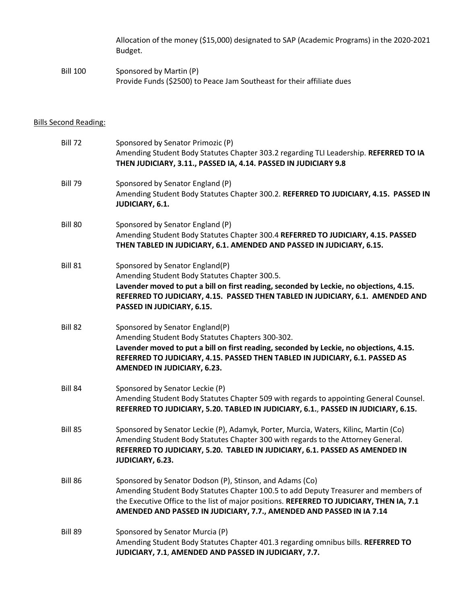Allocation of the money (\$15,000) designated to SAP (Academic Programs) in the 2020-2021 Budget.

Bill 100 Sponsored by Martin (P) Provide Funds (\$2500) to Peace Jam Southeast for their affiliate dues

## Bills Second Reading:

| <b>Bill 72</b> | Sponsored by Senator Primozic (P)<br>Amending Student Body Statutes Chapter 303.2 regarding TLI Leadership. REFERRED TO IA<br>THEN JUDICIARY, 3.11., PASSED IA, 4.14. PASSED IN JUDICIARY 9.8                                                                                                                       |
|----------------|---------------------------------------------------------------------------------------------------------------------------------------------------------------------------------------------------------------------------------------------------------------------------------------------------------------------|
| <b>Bill 79</b> | Sponsored by Senator England (P)<br>Amending Student Body Statutes Chapter 300.2. REFERRED TO JUDICIARY, 4.15. PASSED IN<br>JUDICIARY, 6.1.                                                                                                                                                                         |
| <b>Bill 80</b> | Sponsored by Senator England (P)<br>Amending Student Body Statutes Chapter 300.4 REFERRED TO JUDICIARY, 4.15. PASSED<br>THEN TABLED IN JUDICIARY, 6.1. AMENDED AND PASSED IN JUDICIARY, 6.15.                                                                                                                       |
| <b>Bill 81</b> | Sponsored by Senator England(P)<br>Amending Student Body Statutes Chapter 300.5.<br>Lavender moved to put a bill on first reading, seconded by Leckie, no objections, 4.15.<br>REFERRED TO JUDICIARY, 4.15. PASSED THEN TABLED IN JUDICIARY, 6.1. AMENDED AND<br>PASSED IN JUDICIARY, 6.15.                         |
| Bill 82        | Sponsored by Senator England(P)<br>Amending Student Body Statutes Chapters 300-302.<br>Lavender moved to put a bill on first reading, seconded by Leckie, no objections, 4.15.<br>REFERRED TO JUDICIARY, 4.15. PASSED THEN TABLED IN JUDICIARY, 6.1. PASSED AS<br>AMENDED IN JUDICIARY, 6.23.                       |
| <b>Bill 84</b> | Sponsored by Senator Leckie (P)<br>Amending Student Body Statutes Chapter 509 with regards to appointing General Counsel.<br>REFERRED TO JUDICIARY, 5.20. TABLED IN JUDICIARY, 6.1., PASSED IN JUDICIARY, 6.15.                                                                                                     |
| <b>Bill 85</b> | Sponsored by Senator Leckie (P), Adamyk, Porter, Murcia, Waters, Kilinc, Martin (Co)<br>Amending Student Body Statutes Chapter 300 with regards to the Attorney General.<br>REFERRED TO JUDICIARY, 5.20. TABLED IN JUDICIARY, 6.1. PASSED AS AMENDED IN<br>JUDICIARY, 6.23.                                         |
| <b>Bill 86</b> | Sponsored by Senator Dodson (P), Stinson, and Adams (Co)<br>Amending Student Body Statutes Chapter 100.5 to add Deputy Treasurer and members of<br>the Executive Office to the list of major positions. REFERRED TO JUDICIARY, THEN IA, 7.1<br>AMENDED AND PASSED IN JUDICIARY, 7.7., AMENDED AND PASSED IN IA 7.14 |
| Bill 89        | Sponsored by Senator Murcia (P)<br>Amending Student Body Statutes Chapter 401.3 regarding omnibus bills. REFERRED TO<br>JUDICIARY, 7.1, AMENDED AND PASSED IN JUDICIARY, 7.7.                                                                                                                                       |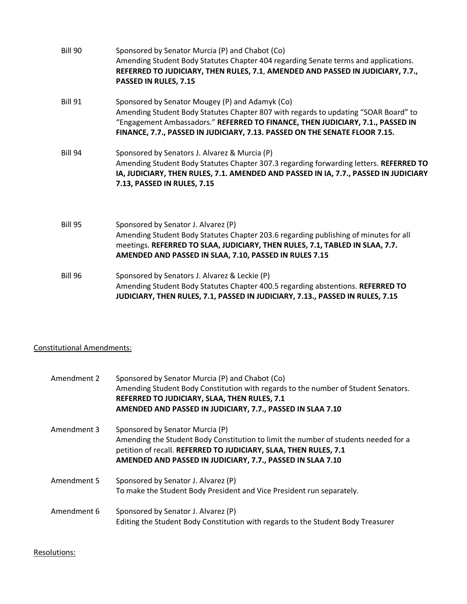| Bill 90        | Sponsored by Senator Murcia (P) and Chabot (Co)<br>Amending Student Body Statutes Chapter 404 regarding Senate terms and applications.<br>REFERRED TO JUDICIARY, THEN RULES, 7.1, AMENDED AND PASSED IN JUDICIARY, 7.7.,<br>PASSED IN RULES, 7.15                                                      |
|----------------|--------------------------------------------------------------------------------------------------------------------------------------------------------------------------------------------------------------------------------------------------------------------------------------------------------|
| <b>Bill 91</b> | Sponsored by Senator Mougey (P) and Adamyk (Co)<br>Amending Student Body Statutes Chapter 807 with regards to updating "SOAR Board" to<br>"Engagement Ambassadors." REFERRED TO FINANCE, THEN JUDICIARY, 7.1., PASSED IN<br>FINANCE, 7.7., PASSED IN JUDICIARY, 7.13. PASSED ON THE SENATE FLOOR 7.15. |
| Bill 94        | Sponsored by Senators J. Alvarez & Murcia (P)<br>Amending Student Body Statutes Chapter 307.3 regarding forwarding letters. REFERRED TO<br>IA, JUDICIARY, THEN RULES, 7.1. AMENDED AND PASSED IN IA, 7.7., PASSED IN JUDICIARY<br>7.13, PASSED IN RULES, 7.15                                          |
| Bill 95        | Sponsored by Senator J. Alvarez (P)<br>Amending Student Body Statutes Chapter 203.6 regarding publishing of minutes for all<br>meetings. REFERRED TO SLAA, JUDICIARY, THEN RULES, 7.1, TABLED IN SLAA, 7.7.<br>AMENDED AND PASSED IN SLAA, 7.10, PASSED IN RULES 7.15                                  |
| <b>Bill 96</b> | Sponsored by Senators J. Alvarez & Leckie (P)<br>Amending Student Body Statutes Chapter 400.5 regarding abstentions. REFERRED TO<br>JUDICIARY, THEN RULES, 7.1, PASSED IN JUDICIARY, 7.13., PASSED IN RULES, 7.15                                                                                      |

## Constitutional Amendments:

| Amendment 2 | Sponsored by Senator Murcia (P) and Chabot (Co)<br>Amending Student Body Constitution with regards to the number of Student Senators.<br>REFERRED TO JUDICIARY, SLAA, THEN RULES, 7.1<br>AMENDED AND PASSED IN JUDICIARY, 7.7., PASSED IN SLAA 7.10      |
|-------------|----------------------------------------------------------------------------------------------------------------------------------------------------------------------------------------------------------------------------------------------------------|
| Amendment 3 | Sponsored by Senator Murcia (P)<br>Amending the Student Body Constitution to limit the number of students needed for a<br>petition of recall. REFERRED TO JUDICIARY, SLAA, THEN RULES, 7.1<br>AMENDED AND PASSED IN JUDICIARY, 7.7., PASSED IN SLAA 7.10 |
| Amendment 5 | Sponsored by Senator J. Alvarez (P)<br>To make the Student Body President and Vice President run separately.                                                                                                                                             |
| Amendment 6 | Sponsored by Senator J. Alvarez (P)<br>Editing the Student Body Constitution with regards to the Student Body Treasurer                                                                                                                                  |

#### Resolutions: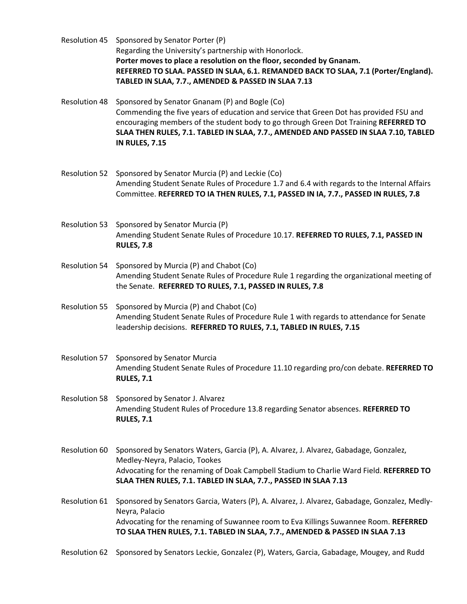Resolution 45 Sponsored by Senator Porter (P) Regarding the University's partnership with Honorlock. **Porter moves to place a resolution on the floor, seconded by Gnanam. REFERRED TO SLAA. PASSED IN SLAA, 6.1. REMANDED BACK TO SLAA, 7.1 (Porter/England). TABLED IN SLAA, 7.7., AMENDED & PASSED IN SLAA 7.13**

- Resolution 48 Sponsored by Senator Gnanam (P) and Bogle (Co) Commending the five years of education and service that Green Dot has provided FSU and encouraging members of the student body to go through Green Dot Training **REFERRED TO SLAA THEN RULES, 7.1. TABLED IN SLAA, 7.7., AMENDED AND PASSED IN SLAA 7.10, TABLED IN RULES, 7.15**
- Resolution 52 Sponsored by Senator Murcia (P) and Leckie (Co) Amending Student Senate Rules of Procedure 1.7 and 6.4 with regards to the Internal Affairs Committee. **REFERRED TO IA THEN RULES, 7.1, PASSED IN IA, 7.7., PASSED IN RULES, 7.8**
- Resolution 53 Sponsored by Senator Murcia (P) Amending Student Senate Rules of Procedure 10.17. **REFERRED TO RULES, 7.1, PASSED IN RULES, 7.8**
- Resolution 54 Sponsored by Murcia (P) and Chabot (Co) Amending Student Senate Rules of Procedure Rule 1 regarding the organizational meeting of the Senate. **REFERRED TO RULES, 7.1, PASSED IN RULES, 7.8**
- Resolution 55 Sponsored by Murcia (P) and Chabot (Co) Amending Student Senate Rules of Procedure Rule 1 with regards to attendance for Senate leadership decisions. **REFERRED TO RULES, 7.1, TABLED IN RULES, 7.15**
- Resolution 57 Sponsored by Senator Murcia Amending Student Senate Rules of Procedure 11.10 regarding pro/con debate. **REFERRED TO RULES, 7.1**
- Resolution 58 Sponsored by Senator J. Alvarez Amending Student Rules of Procedure 13.8 regarding Senator absences. **REFERRED TO RULES, 7.1**
- Resolution 60 Sponsored by Senators Waters, Garcia (P), A. Alvarez, J. Alvarez, Gabadage, Gonzalez, Medley-Neyra, Palacio, Tookes Advocating for the renaming of Doak Campbell Stadium to Charlie Ward Field. **REFERRED TO SLAA THEN RULES, 7.1. TABLED IN SLAA, 7.7., PASSED IN SLAA 7.13**
- Resolution 61 Sponsored by Senators Garcia, Waters (P), A. Alvarez, J. Alvarez, Gabadage, Gonzalez, Medly-Neyra, Palacio Advocating for the renaming of Suwannee room to Eva Killings Suwannee Room. **REFERRED TO SLAA THEN RULES, 7.1. TABLED IN SLAA, 7.7., AMENDED & PASSED IN SLAA 7.13**
- Resolution 62 Sponsored by Senators Leckie, Gonzalez (P), Waters, Garcia, Gabadage, Mougey, and Rudd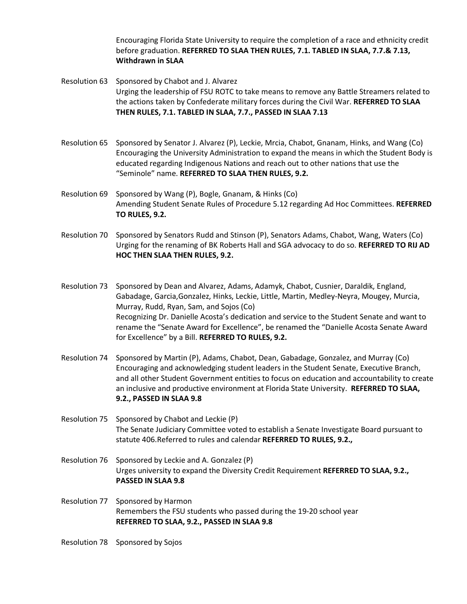Encouraging Florida State University to require the completion of a race and ethnicity credit before graduation. **REFERRED TO SLAA THEN RULES, 7.1. TABLED IN SLAA, 7.7.& 7.13, Withdrawn in SLAA**

Resolution 63 Sponsored by Chabot and J. Alvarez Urging the leadership of FSU ROTC to take means to remove any Battle Streamers related to the actions taken by Confederate military forces during the Civil War. **REFERRED TO SLAA THEN RULES, 7.1. TABLED IN SLAA, 7.7., PASSED IN SLAA 7.13**

- Resolution 65 Sponsored by Senator J. Alvarez (P), Leckie, Mrcia, Chabot, Gnanam, Hinks, and Wang (Co) Encouraging the University Administration to expand the means in which the Student Body is educated regarding Indigenous Nations and reach out to other nations that use the "Seminole" name. **REFERRED TO SLAA THEN RULES, 9.2.**
- Resolution 69 Sponsored by Wang (P), Bogle, Gnanam, & Hinks (Co) Amending Student Senate Rules of Procedure 5.12 regarding Ad Hoc Committees. **REFERRED TO RULES, 9.2.**
- Resolution 70 Sponsored by Senators Rudd and Stinson (P), Senators Adams, Chabot, Wang, Waters (Co) Urging for the renaming of BK Roberts Hall and SGA advocacy to do so. **REFERRED TO RIJ AD HOC THEN SLAA THEN RULES, 9.2.**

Resolution 73 Sponsored by Dean and Alvarez, Adams, Adamyk, Chabot, Cusnier, Daraldik, England, Gabadage, Garcia,Gonzalez, Hinks, Leckie, Little, Martin, Medley-Neyra, Mougey, Murcia, Murray, Rudd, Ryan, Sam, and Sojos (Co) Recognizing Dr. Danielle Acosta's dedication and service to the Student Senate and want to rename the "Senate Award for Excellence", be renamed the "Danielle Acosta Senate Award for Excellence" by a Bill. **REFERRED TO RULES, 9.2.**

- Resolution 74 Sponsored by Martin (P), Adams, Chabot, Dean, Gabadage, Gonzalez, and Murray (Co) Encouraging and acknowledging student leaders in the Student Senate, Executive Branch, and all other Student Government entities to focus on education and accountability to create an inclusive and productive environment at Florida State University. **REFERRED TO SLAA, 9.2., PASSED IN SLAA 9.8**
- Resolution 75 Sponsored by Chabot and Leckie (P) The Senate Judiciary Committee voted to establish a Senate Investigate Board pursuant to statute 406.Referred to rules and calendar **REFERRED TO RULES, 9.2.,**
- Resolution 76 Sponsored by Leckie and A. Gonzalez (P) Urges university to expand the Diversity Credit Requirement **REFERRED TO SLAA, 9.2., PASSED IN SLAA 9.8**
- Resolution 77 Sponsored by Harmon Remembers the FSU students who passed during the 19-20 school year **REFERRED TO SLAA, 9.2., PASSED IN SLAA 9.8**
- Resolution 78 Sponsored by Sojos